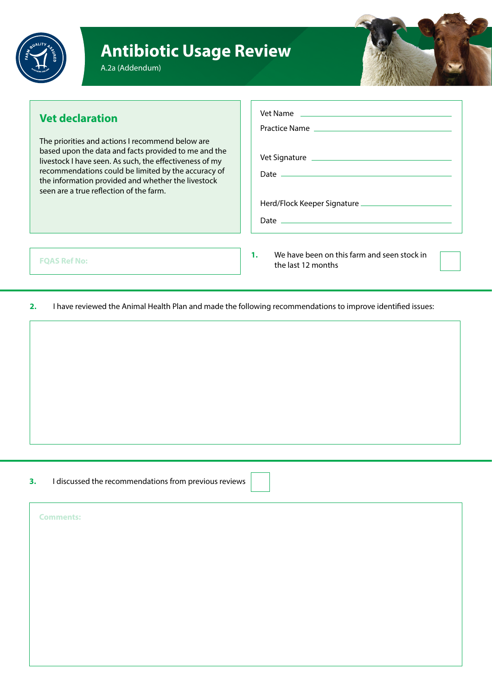

## **Antibiotic Usage Review**



## **Vet declaration**

The priorities and actions I recommend below are based upon the data and facts provided to me and the livestock I have seen. As such, the effectiveness of my recommendations could be limited by the accuracy of the information provided and whether the livestock seen are a true reflection of the farm.

| Vet Name |
|----------|
|          |
|          |
|          |
|          |
|          |
|          |
|          |
|          |

**FQAS Ref No:**

**1.** We have been on this farm and seen stock in the last 12 months

**2.** I have reviewed the Animal Health Plan and made the following recommendations to improve identified issues:

**3.** I discussed the recommendations from previous reviews

**Comments:**